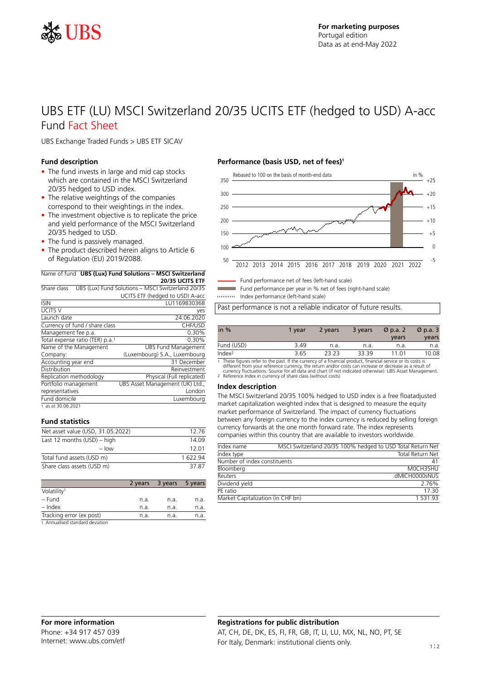

# UBS ETF (LU) MSCI Switzerland 20/35 UCITS ETF (hedged to USD) A-acc Fund Fact Sheet

UBS Exchange Traded Funds > UBS ETF SICAV

### **Fund description**

- The fund invests in large and mid cap stocks which are contained in the MSCI Switzerland 20/35 hedged to USD index.
- The relative weightings of the companies correspond to their weightings in the index.
- The investment objective is to replicate the price and yield performance of the MSCI Switzerland 20/35 hedged to USD.
- The fund is passively managed.
- The product described herein aligns to Article 6 of Regulation (EU) 2019/2088.

### Name of fund **UBS (Lux) Fund Solutions – MSCI Switzerland**

|                | 20/35 UCITS FTF                                               |
|----------------|---------------------------------------------------------------|
|                | Share class UBS (Lux) Fund Solutions - MSCI Switzerland 20/35 |
|                | UCITS ETF (hedged to USD) A-acc                               |
| <b>ISIN</b>    | LU1169830368                                                  |
| <b>UCITS V</b> | ves                                                           |
| Launch date    | 24.06.2020                                                    |

| Launch date                                 | 24.06.2020                      |
|---------------------------------------------|---------------------------------|
| Currency of fund / share class              | CHF/USD                         |
| Management fee p.a.                         | 0.30%                           |
| Total expense ratio (TER) p.a. <sup>1</sup> | 0.30%                           |
| Name of the Management                      | <b>UBS Fund Management</b>      |
| Company:                                    | (Luxembourg) S.A., Luxembourg   |
| Accounting year end                         | 31 December                     |
| Distribution                                | Reinvestment                    |
| Replication methodology                     | Physical (Full replicated)      |
| Portfolio management                        | UBS Asset Management (UK) Ltd., |
| representatives                             | London                          |
| Fund domicile                               | Luxembourg                      |
| 1 as at 30.06.2021                          |                                 |

## **Fund statistics**

| Net asset value (USD, 31.05.2022) | 1276   |
|-----------------------------------|--------|
| Last 12 months $(USD)$ – high     | 14.09  |
| $-$ low                           | 12 01  |
| Total fund assets (USD m)         | 162294 |
| Share class assets (USD m)        | 37.87  |

|                                 | 2 years | 3 years | 5 years |
|---------------------------------|---------|---------|---------|
| Volatility <sup>1</sup>         |         |         |         |
| – Fund                          | n.a.    | n.a.    | n.a.    |
| – Index                         | n.a.    | n.a.    | n.a.    |
| Tracking error (ex post)        | n.a.    | n.a.    | n.a.    |
| 1 Annualicad standard deviation |         |         |         |

1 Annualised standard deviation

## **Performance (basis USD, net of fees)<sup>1</sup>**



Fund performance net of fees (left-hand scale)

Fund performance per year in % net of fees (right-hand scale)

Index performance (left-hand scale)

Past performance is not a reliable indicator of future results.

| in $%$             | 1 vear | 2 years | 3 years | $\varnothing$ p.a. 2 | $\varnothing$ p.a. 3 |
|--------------------|--------|---------|---------|----------------------|----------------------|
|                    |        |         |         | years                | years                |
| Fund (USD)         | 3.49   | n.a.    | n.a.    | n.a.                 | n.a.                 |
| Index <sup>2</sup> | 3.65   | 23.23   | 33.39   | 11.01                | 10.08                |

1 These figures refer to the past. If the currency of a financial product, financial service or its costs is<br>different from your reference currency, the return and/or costs can increase or decrease as a result of<br>currency

### **Index description**

The MSCI Switzerland 20/35 100% hedged to USD index is a free floatadjusted market capitalization weighted index that is designed to measure the equity market performance of Switzerland. The impact of currency fluctuations between any foreign currency to the index currency is reduced by selling foreign currency forwards at the one month forward rate. The index represents companies within this country that are available to investors worldwide.

| Index name                        | MSCI Switzerland 20/35 100% hedged to USD Total Return Net |
|-----------------------------------|------------------------------------------------------------|
| Index type                        | <b>Total Return Net</b>                                    |
| Number of index constituents      | 41                                                         |
| Bloomberg                         | MOCH35HU                                                   |
| Reuters                           | .dMICH0000sNUS                                             |
| Dividend yield                    | 2.76%                                                      |
| PF ratio                          | 17 30                                                      |
| Market Capitalization (in CHF bn) | 1 531 93                                                   |

# **Registrations for public distribution** AT, CH, DE, DK, ES, FI, FR, GB, IT, LI, LU, MX, NL, NO, PT, SE For Italy, Denmark: institutional clients only. 1:2